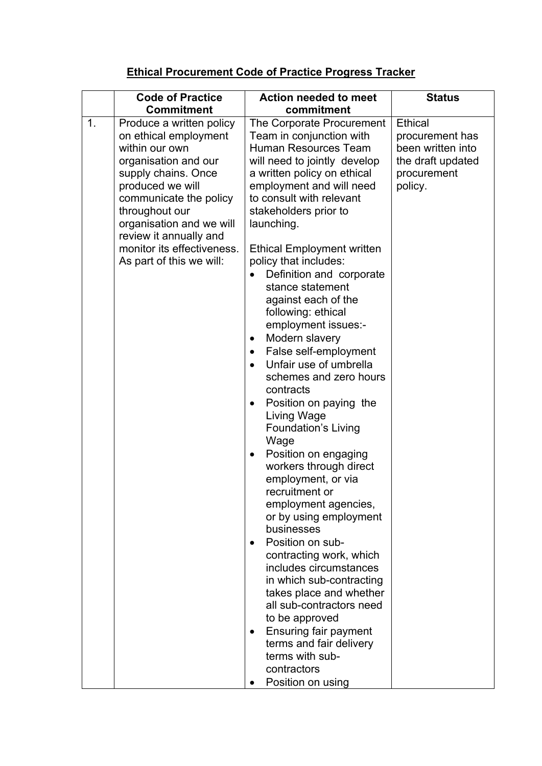## **Ethical Procurement Code of Practice Progress Tracker**

|    | <b>Commitment</b>                                                                                                                                                                                                                                                                                                             | commitment                                                                                                                                                                                                                                                                                                                                                                                                                                                                                                                                                                                                                                                                                                                                                                                                                                                                  |                                                                                                                        |
|----|-------------------------------------------------------------------------------------------------------------------------------------------------------------------------------------------------------------------------------------------------------------------------------------------------------------------------------|-----------------------------------------------------------------------------------------------------------------------------------------------------------------------------------------------------------------------------------------------------------------------------------------------------------------------------------------------------------------------------------------------------------------------------------------------------------------------------------------------------------------------------------------------------------------------------------------------------------------------------------------------------------------------------------------------------------------------------------------------------------------------------------------------------------------------------------------------------------------------------|------------------------------------------------------------------------------------------------------------------------|
| 1. | <b>Code of Practice</b><br>Produce a written policy<br>on ethical employment<br>within our own<br>organisation and our<br>supply chains. Once<br>produced we will<br>communicate the policy<br>throughout our<br>organisation and we will<br>review it annually and<br>monitor its effectiveness.<br>As part of this we will: | <b>Action needed to meet</b><br>The Corporate Procurement<br>Team in conjunction with<br>Human Resources Team<br>will need to jointly develop<br>a written policy on ethical<br>employment and will need<br>to consult with relevant<br>stakeholders prior to<br>launching.<br><b>Ethical Employment written</b><br>policy that includes:<br>Definition and corporate<br>stance statement<br>against each of the<br>following: ethical<br>employment issues:-<br>Modern slavery<br>٠<br>False self-employment<br>Unfair use of umbrella<br>schemes and zero hours<br>contracts<br>Position on paying the<br>Living Wage<br><b>Foundation's Living</b><br>Wage<br>Position on engaging<br>٠<br>workers through direct<br>employment, or via<br>recruitment or<br>employment agencies,<br>or by using employment<br>businesses<br>Position on sub-<br>contracting work, which | <b>Status</b><br><b>Ethical</b><br>procurement has<br>been written into<br>the draft updated<br>procurement<br>policy. |
|    |                                                                                                                                                                                                                                                                                                                               | includes circumstances<br>in which sub-contracting<br>takes place and whether<br>all sub-contractors need<br>to be approved                                                                                                                                                                                                                                                                                                                                                                                                                                                                                                                                                                                                                                                                                                                                                 |                                                                                                                        |
|    |                                                                                                                                                                                                                                                                                                                               | <b>Ensuring fair payment</b><br>$\bullet$<br>terms and fair delivery<br>terms with sub-<br>contractors<br>Position on using                                                                                                                                                                                                                                                                                                                                                                                                                                                                                                                                                                                                                                                                                                                                                 |                                                                                                                        |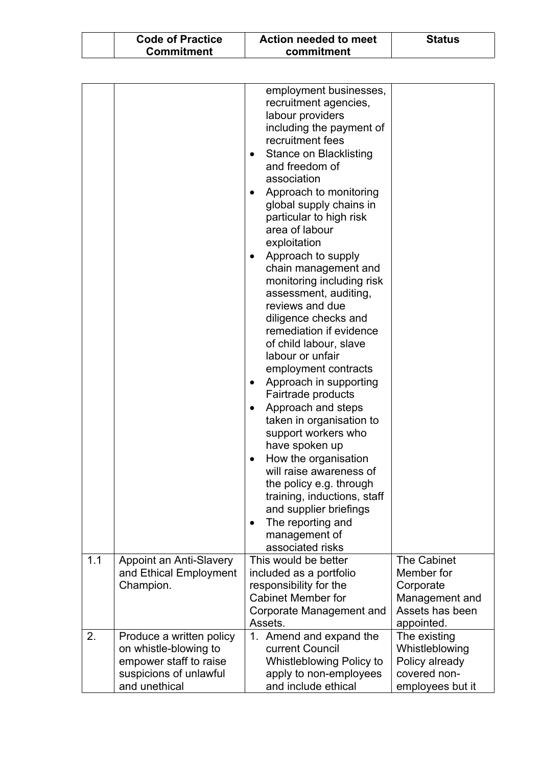| <b>Code of Practice</b> | Action needed to meet | <b>Status</b> |
|-------------------------|-----------------------|---------------|
| <b>Commitment</b>       | commitment            |               |

|     |                                                                                                                        | employment businesses,<br>recruitment agencies,<br>labour providers<br>including the payment of<br>recruitment fees<br><b>Stance on Blacklisting</b><br>$\bullet$<br>and freedom of<br>association<br>Approach to monitoring<br>$\bullet$<br>global supply chains in<br>particular to high risk<br>area of labour<br>exploitation<br>Approach to supply<br>$\bullet$<br>chain management and<br>monitoring including risk<br>assessment, auditing,<br>reviews and due<br>diligence checks and<br>remediation if evidence<br>of child labour, slave<br>labour or unfair<br>employment contracts<br>Approach in supporting<br>$\bullet$<br>Fairtrade products<br>Approach and steps<br>$\bullet$<br>taken in organisation to<br>support workers who<br>have spoken up<br>How the organisation<br>$\bullet$<br>will raise awareness of<br>the policy e.g. through<br>training, inductions, staff<br>and supplier briefings<br>The reporting and<br>$\bullet$<br>management of<br>associated risks |                                                                                           |
|-----|------------------------------------------------------------------------------------------------------------------------|------------------------------------------------------------------------------------------------------------------------------------------------------------------------------------------------------------------------------------------------------------------------------------------------------------------------------------------------------------------------------------------------------------------------------------------------------------------------------------------------------------------------------------------------------------------------------------------------------------------------------------------------------------------------------------------------------------------------------------------------------------------------------------------------------------------------------------------------------------------------------------------------------------------------------------------------------------------------------------------------|-------------------------------------------------------------------------------------------|
| 1.1 | Appoint an Anti-Slavery<br>and Ethical Employment<br>Champion.                                                         | This would be better<br>included as a portfolio<br>responsibility for the<br><b>Cabinet Member for</b><br>Corporate Management and<br>Assets.                                                                                                                                                                                                                                                                                                                                                                                                                                                                                                                                                                                                                                                                                                                                                                                                                                                  | The Cabinet<br>Member for<br>Corporate<br>Management and<br>Assets has been<br>appointed. |
| 2.  | Produce a written policy<br>on whistle-blowing to<br>empower staff to raise<br>suspicions of unlawful<br>and unethical | 1. Amend and expand the<br>current Council<br>Whistleblowing Policy to<br>apply to non-employees<br>and include ethical                                                                                                                                                                                                                                                                                                                                                                                                                                                                                                                                                                                                                                                                                                                                                                                                                                                                        | The existing<br>Whistleblowing<br>Policy already<br>covered non-<br>employees but it      |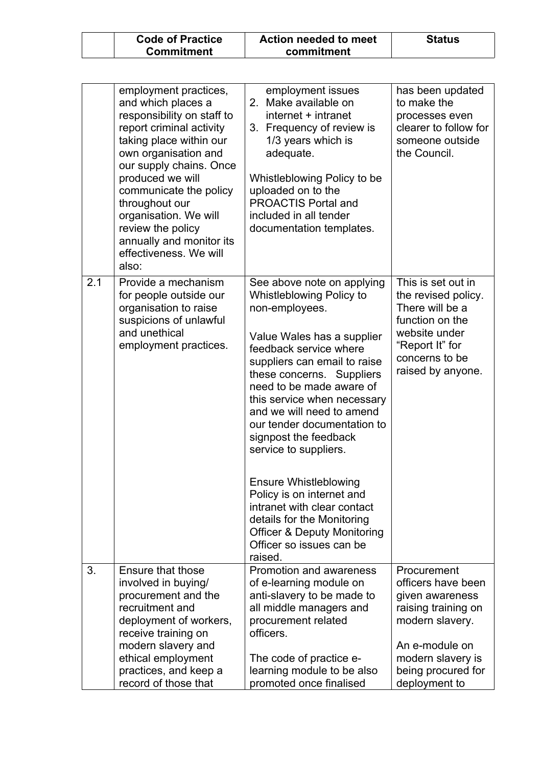| <b>Code of Practice</b> | Action needed to meet | <b>Status</b> |
|-------------------------|-----------------------|---------------|
| <b>Commitment</b>       | commitment            |               |

|     | employment practices,<br>and which places a<br>responsibility on staff to<br>report criminal activity<br>taking place within our<br>own organisation and<br>our supply chains. Once<br>produced we will<br>communicate the policy<br>throughout our<br>organisation. We will<br>review the policy<br>annually and monitor its<br>effectiveness. We will<br>also: | employment issues<br>2. Make available on<br>internet + intranet<br>3. Frequency of review is<br>1/3 years which is<br>adequate.<br>Whistleblowing Policy to be<br>uploaded on to the<br><b>PROACTIS Portal and</b><br>included in all tender<br>documentation templates.                                                                                                                                                                                                                                                                                                         | has been updated<br>to make the<br>processes even<br>clearer to follow for<br>someone outside<br>the Council.                                               |
|-----|------------------------------------------------------------------------------------------------------------------------------------------------------------------------------------------------------------------------------------------------------------------------------------------------------------------------------------------------------------------|-----------------------------------------------------------------------------------------------------------------------------------------------------------------------------------------------------------------------------------------------------------------------------------------------------------------------------------------------------------------------------------------------------------------------------------------------------------------------------------------------------------------------------------------------------------------------------------|-------------------------------------------------------------------------------------------------------------------------------------------------------------|
| 2.1 | Provide a mechanism<br>for people outside our<br>organisation to raise<br>suspicions of unlawful<br>and unethical<br>employment practices.                                                                                                                                                                                                                       | See above note on applying<br>Whistleblowing Policy to<br>non-employees.<br>Value Wales has a supplier<br>feedback service where<br>suppliers can email to raise<br>these concerns. Suppliers<br>need to be made aware of<br>this service when necessary<br>and we will need to amend<br>our tender documentation to<br>signpost the feedback<br>service to suppliers.<br><b>Ensure Whistleblowing</b><br>Policy is on internet and<br>intranet with clear contact<br>details for the Monitoring<br><b>Officer &amp; Deputy Monitoring</b><br>Officer so issues can be<br>raised. | This is set out in<br>the revised policy.<br>There will be a<br>function on the<br>website under<br>"Report It" for<br>concerns to be<br>raised by anyone.  |
| 3.  | Ensure that those<br>involved in buying/<br>procurement and the<br>recruitment and<br>deployment of workers,<br>receive training on<br>modern slavery and<br>ethical employment<br>practices, and keep a                                                                                                                                                         | Promotion and awareness<br>of e-learning module on<br>anti-slavery to be made to<br>all middle managers and<br>procurement related<br>officers.<br>The code of practice e-<br>learning module to be also                                                                                                                                                                                                                                                                                                                                                                          | Procurement<br>officers have been<br>given awareness<br>raising training on<br>modern slavery.<br>An e-module on<br>modern slavery is<br>being procured for |
|     | record of those that                                                                                                                                                                                                                                                                                                                                             | promoted once finalised                                                                                                                                                                                                                                                                                                                                                                                                                                                                                                                                                           | deployment to                                                                                                                                               |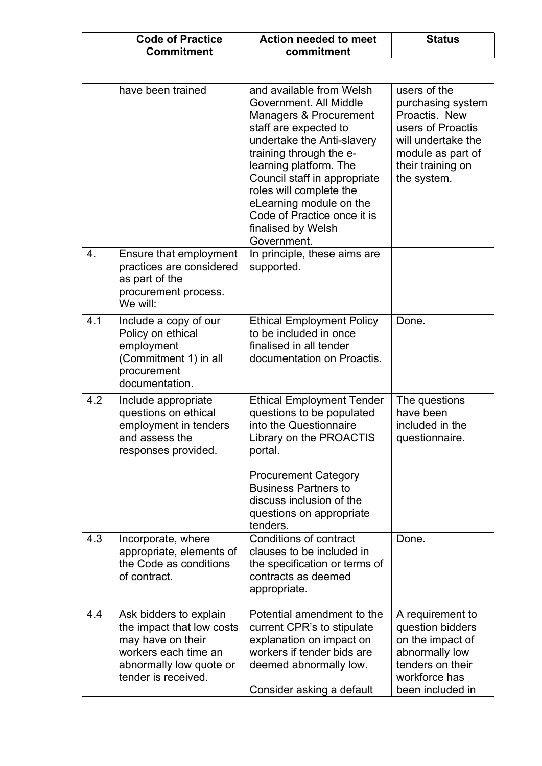| <b>Code of Practice</b> | Action needed to meet | <b>Status</b> |
|-------------------------|-----------------------|---------------|
| <b>Commitment</b>       | commitment            |               |

|     | have been trained                                                                                                                                  | and available from Welsh<br>Government. All Middle<br>Managers & Procurement<br>staff are expected to<br>undertake the Anti-slavery<br>training through the e-<br>learning platform. The<br>Council staff in appropriate<br>roles will complete the<br>eLearning module on the<br>Code of Practice once it is<br>finalised by Welsh<br>Government. | users of the<br>purchasing system<br>Proactis. New<br>users of Proactis<br>will undertake the<br>module as part of<br>their training on<br>the system. |
|-----|----------------------------------------------------------------------------------------------------------------------------------------------------|----------------------------------------------------------------------------------------------------------------------------------------------------------------------------------------------------------------------------------------------------------------------------------------------------------------------------------------------------|--------------------------------------------------------------------------------------------------------------------------------------------------------|
| 4.  | Ensure that employment<br>practices are considered<br>as part of the<br>procurement process.<br>We will:                                           | In principle, these aims are<br>supported.                                                                                                                                                                                                                                                                                                         |                                                                                                                                                        |
| 4.1 | Include a copy of our<br>Policy on ethical<br>employment<br>(Commitment 1) in all<br>procurement<br>documentation.                                 | <b>Ethical Employment Policy</b><br>to be included in once<br>finalised in all tender<br>documentation on Proactis.                                                                                                                                                                                                                                | Done.                                                                                                                                                  |
| 4.2 | Include appropriate<br>questions on ethical<br>employment in tenders<br>and assess the<br>responses provided.                                      | <b>Ethical Employment Tender</b><br>questions to be populated<br>into the Questionnaire<br>Library on the PROACTIS<br>portal.<br><b>Procurement Category</b><br><b>Business Partners to</b><br>discuss inclusion of the<br>questions on appropriate<br>tenders.                                                                                    | The questions<br>have been<br>included in the<br>questionnaire.                                                                                        |
| 4.3 | Incorporate, where<br>appropriate, elements of<br>the Code as conditions<br>of contract.                                                           | Conditions of contract<br>clauses to be included in<br>the specification or terms of<br>contracts as deemed<br>appropriate.                                                                                                                                                                                                                        | Done.                                                                                                                                                  |
| 4.4 | Ask bidders to explain<br>the impact that low costs<br>may have on their<br>workers each time an<br>abnormally low quote or<br>tender is received. | Potential amendment to the<br>current CPR's to stipulate<br>explanation on impact on<br>workers if tender bids are<br>deemed abnormally low.<br>Consider asking a default                                                                                                                                                                          | A requirement to<br>question bidders<br>on the impact of<br>abnormally low<br>tenders on their<br>workforce has<br>been included in                    |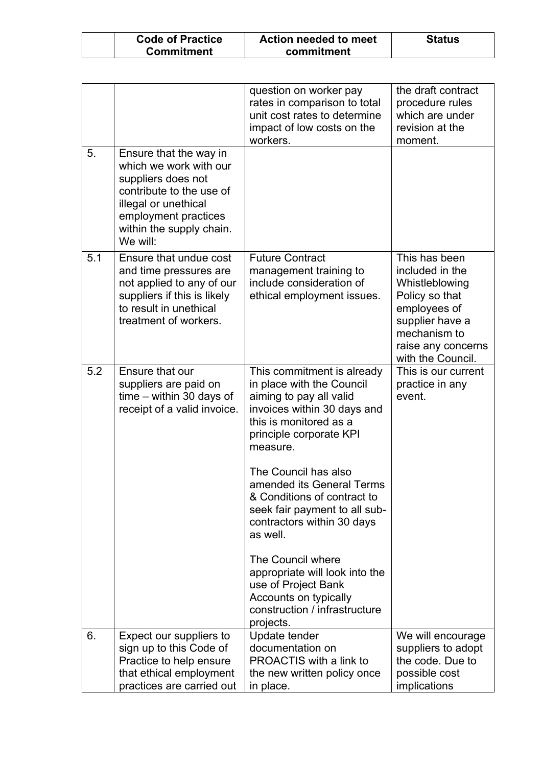| <b>Code of Practice</b> | Action needed to meet | <b>Status</b> |
|-------------------------|-----------------------|---------------|
| <b>Commitment</b>       | commitment            |               |

|     |                                                                                                                                                                                            | question on worker pay<br>rates in comparison to total<br>unit cost rates to determine<br>impact of low costs on the<br>workers.                                                   | the draft contract<br>procedure rules<br>which are under<br>revision at the<br>moment.                                                                             |
|-----|--------------------------------------------------------------------------------------------------------------------------------------------------------------------------------------------|------------------------------------------------------------------------------------------------------------------------------------------------------------------------------------|--------------------------------------------------------------------------------------------------------------------------------------------------------------------|
| 5.  | Ensure that the way in<br>which we work with our<br>suppliers does not<br>contribute to the use of<br>illegal or unethical<br>employment practices<br>within the supply chain.<br>We will: |                                                                                                                                                                                    |                                                                                                                                                                    |
| 5.1 | Ensure that undue cost<br>and time pressures are<br>not applied to any of our<br>suppliers if this is likely<br>to result in unethical<br>treatment of workers.                            | <b>Future Contract</b><br>management training to<br>include consideration of<br>ethical employment issues.                                                                         | This has been<br>included in the<br>Whistleblowing<br>Policy so that<br>employees of<br>supplier have a<br>mechanism to<br>raise any concerns<br>with the Council. |
| 5.2 | Ensure that our<br>suppliers are paid on<br>$time - within 30 days of$<br>receipt of a valid invoice.                                                                                      | This commitment is already<br>in place with the Council<br>aiming to pay all valid<br>invoices within 30 days and<br>this is monitored as a<br>principle corporate KPI<br>measure. | This is our current<br>practice in any<br>event.                                                                                                                   |
|     |                                                                                                                                                                                            | The Council has also<br>amended its General Terms<br>& Conditions of contract to<br>seek fair payment to all sub-<br>contractors within 30 days<br>as well.                        |                                                                                                                                                                    |
|     |                                                                                                                                                                                            | The Council where<br>appropriate will look into the<br>use of Project Bank<br>Accounts on typically<br>construction / infrastructure<br>projects.                                  |                                                                                                                                                                    |
| 6.  | Expect our suppliers to<br>sign up to this Code of<br>Practice to help ensure<br>that ethical employment<br>practices are carried out                                                      | Update tender<br>documentation on<br>PROACTIS with a link to<br>the new written policy once<br>in place.                                                                           | We will encourage<br>suppliers to adopt<br>the code. Due to<br>possible cost<br>implications                                                                       |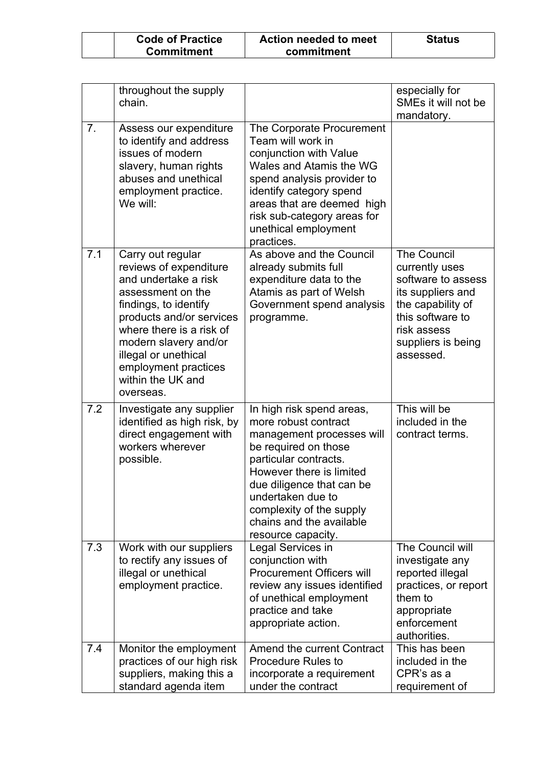| <b>Code of Practice</b> | <b>Action needed to meet</b> | <b>Status</b> |
|-------------------------|------------------------------|---------------|
| <b>Commitment</b>       | commitment                   |               |

|     | throughout the supply<br>chain.                                                                                                                                                                                                                                                      |                                                                                                                                                                                                                                                                                             | especially for<br>SMEs it will not be<br>mandatory.                                                                                                                        |
|-----|--------------------------------------------------------------------------------------------------------------------------------------------------------------------------------------------------------------------------------------------------------------------------------------|---------------------------------------------------------------------------------------------------------------------------------------------------------------------------------------------------------------------------------------------------------------------------------------------|----------------------------------------------------------------------------------------------------------------------------------------------------------------------------|
| 7.  | Assess our expenditure<br>to identify and address<br>issues of modern<br>slavery, human rights<br>abuses and unethical<br>employment practice.<br>We will:                                                                                                                           | The Corporate Procurement<br>Team will work in<br>conjunction with Value<br>Wales and Atamis the WG<br>spend analysis provider to<br>identify category spend<br>areas that are deemed high<br>risk sub-category areas for<br>unethical employment<br>practices.                             |                                                                                                                                                                            |
| 7.1 | Carry out regular<br>reviews of expenditure<br>and undertake a risk<br>assessment on the<br>findings, to identify<br>products and/or services<br>where there is a risk of<br>modern slavery and/or<br>illegal or unethical<br>employment practices<br>within the UK and<br>overseas. | As above and the Council<br>already submits full<br>expenditure data to the<br>Atamis as part of Welsh<br>Government spend analysis<br>programme.                                                                                                                                           | <b>The Council</b><br>currently uses<br>software to assess<br>its suppliers and<br>the capability of<br>this software to<br>risk assess<br>suppliers is being<br>assessed. |
| 7.2 | Investigate any supplier<br>identified as high risk, by<br>direct engagement with<br>workers wherever<br>possible.                                                                                                                                                                   | In high risk spend areas,<br>more robust contract<br>management processes will<br>be required on those<br>particular contracts.<br>However there is limited<br>due diligence that can be<br>undertaken due to<br>complexity of the supply<br>chains and the available<br>resource capacity. | This will be<br>included in the<br>contract terms.                                                                                                                         |
| 7.3 | Work with our suppliers<br>to rectify any issues of<br>illegal or unethical<br>employment practice.                                                                                                                                                                                  | Legal Services in<br>conjunction with<br><b>Procurement Officers will</b><br>review any issues identified<br>of unethical employment<br>practice and take<br>appropriate action.                                                                                                            | The Council will<br>investigate any<br>reported illegal<br>practices, or report<br>them to<br>appropriate<br>enforcement<br>authorities.                                   |
| 7.4 | Monitor the employment<br>practices of our high risk<br>suppliers, making this a<br>standard agenda item                                                                                                                                                                             | Amend the current Contract<br><b>Procedure Rules to</b><br>incorporate a requirement<br>under the contract                                                                                                                                                                                  | This has been<br>included in the<br>CPR's as a<br>requirement of                                                                                                           |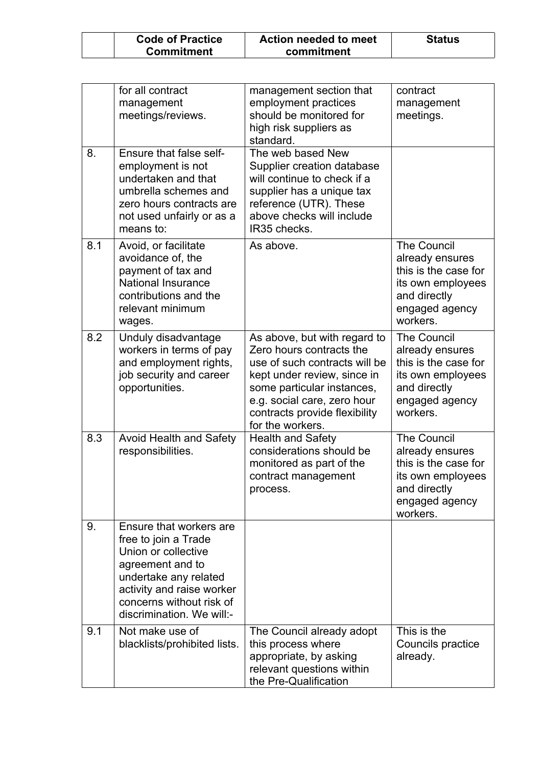| <b>Code of Practice</b> | Action needed to meet | <b>Status</b> |
|-------------------------|-----------------------|---------------|
| <b>Commitment</b>       | commitment            |               |

|     | for all contract<br>management<br>meetings/reviews.                                                                                                                                                       | management section that<br>employment practices<br>should be monitored for<br>high risk suppliers as<br>standard.                                                                                                                          | contract<br>management<br>meetings.                                                                                              |
|-----|-----------------------------------------------------------------------------------------------------------------------------------------------------------------------------------------------------------|--------------------------------------------------------------------------------------------------------------------------------------------------------------------------------------------------------------------------------------------|----------------------------------------------------------------------------------------------------------------------------------|
| 8.  | Ensure that false self-<br>employment is not<br>undertaken and that<br>umbrella schemes and<br>zero hours contracts are<br>not used unfairly or as a<br>means to:                                         | The web based New<br>Supplier creation database<br>will continue to check if a<br>supplier has a unique tax<br>reference (UTR). These<br>above checks will include<br>IR35 checks.                                                         |                                                                                                                                  |
| 8.1 | Avoid, or facilitate<br>avoidance of, the<br>payment of tax and<br>National Insurance<br>contributions and the<br>relevant minimum<br>wages.                                                              | As above.                                                                                                                                                                                                                                  | <b>The Council</b><br>already ensures<br>this is the case for<br>its own employees<br>and directly<br>engaged agency<br>workers. |
| 8.2 | Unduly disadvantage<br>workers in terms of pay<br>and employment rights,<br>job security and career<br>opportunities.                                                                                     | As above, but with regard to<br>Zero hours contracts the<br>use of such contracts will be<br>kept under review, since in<br>some particular instances,<br>e.g. social care, zero hour<br>contracts provide flexibility<br>for the workers. | <b>The Council</b><br>already ensures<br>this is the case for<br>its own employees<br>and directly<br>engaged agency<br>workers. |
| 8.3 | <b>Avoid Health and Safety</b><br>responsibilities.                                                                                                                                                       | <b>Health and Safety</b><br>considerations should be<br>monitored as part of the<br>contract management<br>process.                                                                                                                        | <b>The Council</b><br>already ensures<br>this is the case for<br>its own employees<br>and directly<br>engaged agency<br>workers. |
| 9.  | Ensure that workers are<br>free to join a Trade<br>Union or collective<br>agreement and to<br>undertake any related<br>activity and raise worker<br>concerns without risk of<br>discrimination. We will:- |                                                                                                                                                                                                                                            |                                                                                                                                  |
| 9.1 | Not make use of<br>blacklists/prohibited lists.                                                                                                                                                           | The Council already adopt<br>this process where<br>appropriate, by asking<br>relevant questions within<br>the Pre-Qualification                                                                                                            | This is the<br>Councils practice<br>already.                                                                                     |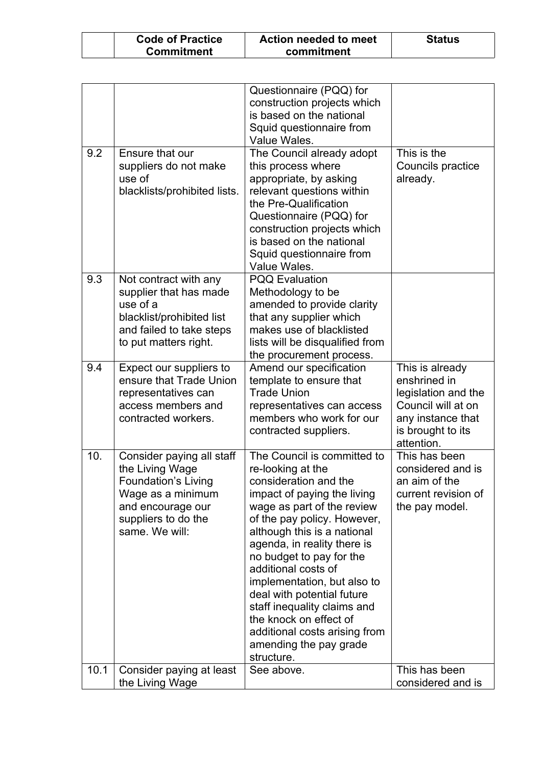| <b>Code of Practice</b> | Action needed to meet | <b>Status</b> |
|-------------------------|-----------------------|---------------|
| <b>Commitment</b>       | commitment            |               |

|      |                                                                                                                                                               | Questionnaire (PQQ) for<br>construction projects which<br>is based on the national<br>Squid questionnaire from<br>Value Wales.                                                                                                                                                                                                                                                                                                                                                        |                                                                                                                                      |
|------|---------------------------------------------------------------------------------------------------------------------------------------------------------------|---------------------------------------------------------------------------------------------------------------------------------------------------------------------------------------------------------------------------------------------------------------------------------------------------------------------------------------------------------------------------------------------------------------------------------------------------------------------------------------|--------------------------------------------------------------------------------------------------------------------------------------|
| 9.2  | Ensure that our<br>suppliers do not make<br>use of<br>blacklists/prohibited lists.                                                                            | The Council already adopt<br>this process where<br>appropriate, by asking<br>relevant questions within<br>the Pre-Qualification<br>Questionnaire (PQQ) for<br>construction projects which<br>is based on the national<br>Squid questionnaire from<br>Value Wales.                                                                                                                                                                                                                     | This is the<br>Councils practice<br>already.                                                                                         |
| 9.3  | Not contract with any<br>supplier that has made<br>use of a<br>blacklist/prohibited list<br>and failed to take steps<br>to put matters right.                 | <b>PQQ Evaluation</b><br>Methodology to be<br>amended to provide clarity<br>that any supplier which<br>makes use of blacklisted<br>lists will be disqualified from<br>the procurement process.                                                                                                                                                                                                                                                                                        |                                                                                                                                      |
| 9.4  | Expect our suppliers to<br>ensure that Trade Union<br>representatives can<br>access members and<br>contracted workers.                                        | Amend our specification<br>template to ensure that<br><b>Trade Union</b><br>representatives can access<br>members who work for our<br>contracted suppliers.                                                                                                                                                                                                                                                                                                                           | This is already<br>enshrined in<br>legislation and the<br>Council will at on<br>any instance that<br>is brought to its<br>attention. |
| 10.  | Consider paying all staff<br>the Living Wage<br><b>Foundation's Living</b><br>Wage as a minimum<br>and encourage our<br>suppliers to do the<br>same. We will: | The Council is committed to<br>re-looking at the<br>consideration and the<br>impact of paying the living<br>wage as part of the review<br>of the pay policy. However,<br>although this is a national<br>agenda, in reality there is<br>no budget to pay for the<br>additional costs of<br>implementation, but also to<br>deal with potential future<br>staff inequality claims and<br>the knock on effect of<br>additional costs arising from<br>amending the pay grade<br>structure. | This has been<br>considered and is<br>an aim of the<br>current revision of<br>the pay model.                                         |
| 10.1 | Consider paying at least<br>the Living Wage                                                                                                                   | See above.                                                                                                                                                                                                                                                                                                                                                                                                                                                                            | This has been<br>considered and is                                                                                                   |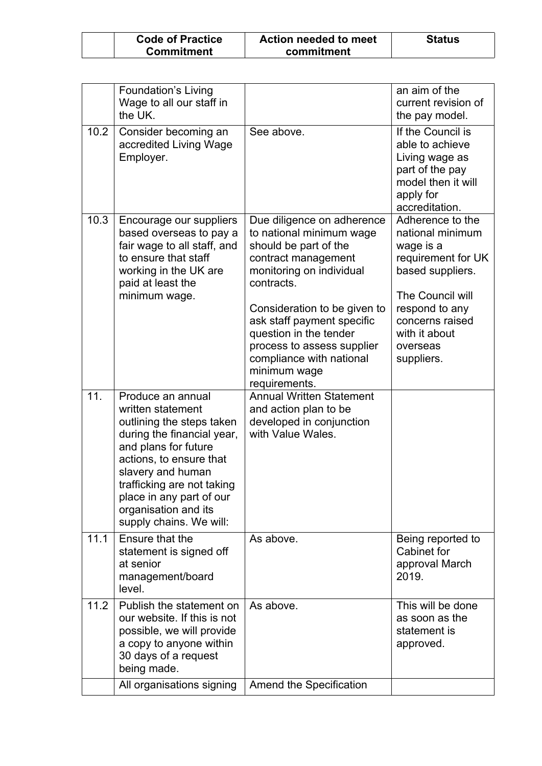| <b>Code of Practice</b> | Action needed to meet | <b>Status</b> |
|-------------------------|-----------------------|---------------|
| <b>Commitment</b>       | commitment            |               |

|      | <b>Foundation's Living</b><br>Wage to all our staff in<br>the UK.                                                                                                                                                                                                                      |                                                                                                                                                                                                                                                                                                                                     | an aim of the<br>current revision of<br>the pay model.                                                                                                                                          |
|------|----------------------------------------------------------------------------------------------------------------------------------------------------------------------------------------------------------------------------------------------------------------------------------------|-------------------------------------------------------------------------------------------------------------------------------------------------------------------------------------------------------------------------------------------------------------------------------------------------------------------------------------|-------------------------------------------------------------------------------------------------------------------------------------------------------------------------------------------------|
| 10.2 | Consider becoming an<br>accredited Living Wage<br>Employer.                                                                                                                                                                                                                            | See above.                                                                                                                                                                                                                                                                                                                          | If the Council is<br>able to achieve<br>Living wage as<br>part of the pay<br>model then it will<br>apply for<br>accreditation.                                                                  |
| 10.3 | Encourage our suppliers<br>based overseas to pay a<br>fair wage to all staff, and<br>to ensure that staff<br>working in the UK are<br>paid at least the<br>minimum wage.                                                                                                               | Due diligence on adherence<br>to national minimum wage<br>should be part of the<br>contract management<br>monitoring on individual<br>contracts.<br>Consideration to be given to<br>ask staff payment specific<br>question in the tender<br>process to assess supplier<br>compliance with national<br>minimum wage<br>requirements. | Adherence to the<br>national minimum<br>wage is a<br>requirement for UK<br>based suppliers.<br>The Council will<br>respond to any<br>concerns raised<br>with it about<br>overseas<br>suppliers. |
| 11.  | Produce an annual<br>written statement<br>outlining the steps taken<br>during the financial year,<br>and plans for future<br>actions, to ensure that<br>slavery and human<br>trafficking are not taking<br>place in any part of our<br>organisation and its<br>supply chains. We will: | <b>Annual Written Statement</b><br>and action plan to be<br>developed in conjunction<br>with Value Wales.                                                                                                                                                                                                                           |                                                                                                                                                                                                 |
| 11.1 | Ensure that the<br>statement is signed off<br>at senior<br>management/board<br>level.                                                                                                                                                                                                  | As above.                                                                                                                                                                                                                                                                                                                           | Being reported to<br>Cabinet for<br>approval March<br>2019.                                                                                                                                     |
| 11.2 | Publish the statement on<br>our website. If this is not<br>possible, we will provide<br>a copy to anyone within<br>30 days of a request<br>being made.                                                                                                                                 | As above.                                                                                                                                                                                                                                                                                                                           | This will be done<br>as soon as the<br>statement is<br>approved.                                                                                                                                |
|      | All organisations signing                                                                                                                                                                                                                                                              | Amend the Specification                                                                                                                                                                                                                                                                                                             |                                                                                                                                                                                                 |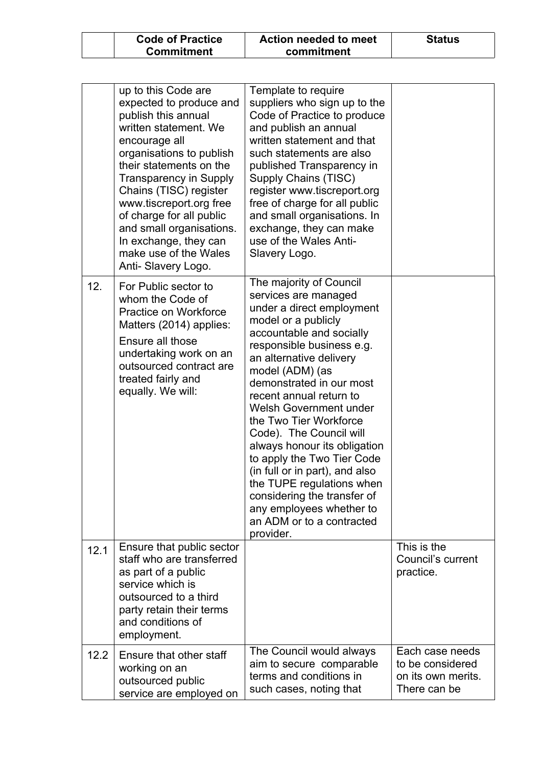| <b>Code of Practice</b> | Action needed to meet | <b>Status</b> |
|-------------------------|-----------------------|---------------|
| <b>Commitment</b>       | commitment            |               |

|      | up to this Code are<br>expected to produce and<br>publish this annual<br>written statement. We<br>encourage all<br>organisations to publish<br>their statements on the<br><b>Transparency in Supply</b><br>Chains (TISC) register<br>www.tiscreport.org free<br>of charge for all public<br>and small organisations.<br>In exchange, they can<br>make use of the Wales<br>Anti-Slavery Logo. | Template to require<br>suppliers who sign up to the<br>Code of Practice to produce<br>and publish an annual<br>written statement and that<br>such statements are also<br>published Transparency in<br>Supply Chains (TISC)<br>register www.tiscreport.org<br>free of charge for all public<br>and small organisations. In<br>exchange, they can make<br>use of the Wales Anti-<br>Slavery Logo.                                                                                                                                                                                           |                                                                           |
|------|----------------------------------------------------------------------------------------------------------------------------------------------------------------------------------------------------------------------------------------------------------------------------------------------------------------------------------------------------------------------------------------------|-------------------------------------------------------------------------------------------------------------------------------------------------------------------------------------------------------------------------------------------------------------------------------------------------------------------------------------------------------------------------------------------------------------------------------------------------------------------------------------------------------------------------------------------------------------------------------------------|---------------------------------------------------------------------------|
| 12.  | For Public sector to<br>whom the Code of<br>Practice on Workforce<br>Matters (2014) applies:<br>Ensure all those<br>undertaking work on an<br>outsourced contract are<br>treated fairly and<br>equally. We will:                                                                                                                                                                             | The majority of Council<br>services are managed<br>under a direct employment<br>model or a publicly<br>accountable and socially<br>responsible business e.g.<br>an alternative delivery<br>model (ADM) (as<br>demonstrated in our most<br>recent annual return to<br><b>Welsh Government under</b><br>the Two Tier Workforce<br>Code). The Council will<br>always honour its obligation<br>to apply the Two Tier Code<br>(in full or in part), and also<br>the TUPE regulations when<br>considering the transfer of<br>any employees whether to<br>an ADM or to a contracted<br>provider. |                                                                           |
| 12.1 | Ensure that public sector<br>staff who are transferred<br>as part of a public<br>service which is<br>outsourced to a third<br>party retain their terms<br>and conditions of<br>employment.                                                                                                                                                                                                   |                                                                                                                                                                                                                                                                                                                                                                                                                                                                                                                                                                                           | This is the<br>Council's current<br>practice.                             |
| 12.2 | Ensure that other staff<br>working on an<br>outsourced public<br>service are employed on                                                                                                                                                                                                                                                                                                     | The Council would always<br>aim to secure comparable<br>terms and conditions in<br>such cases, noting that                                                                                                                                                                                                                                                                                                                                                                                                                                                                                | Each case needs<br>to be considered<br>on its own merits.<br>There can be |